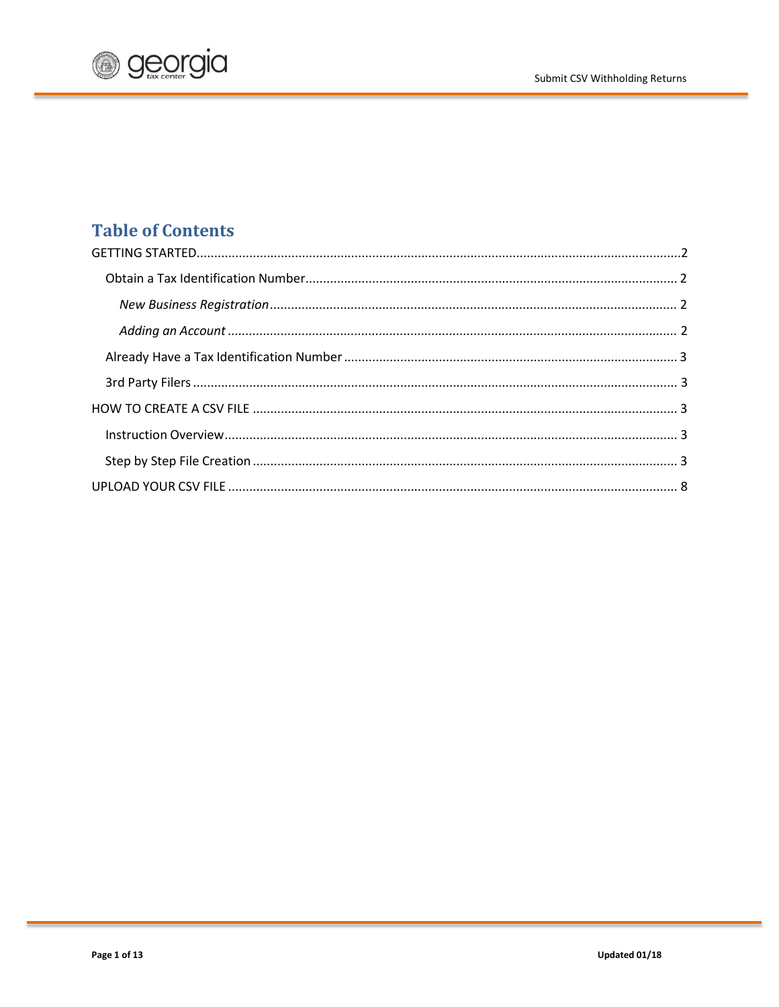

# **Table of Contents**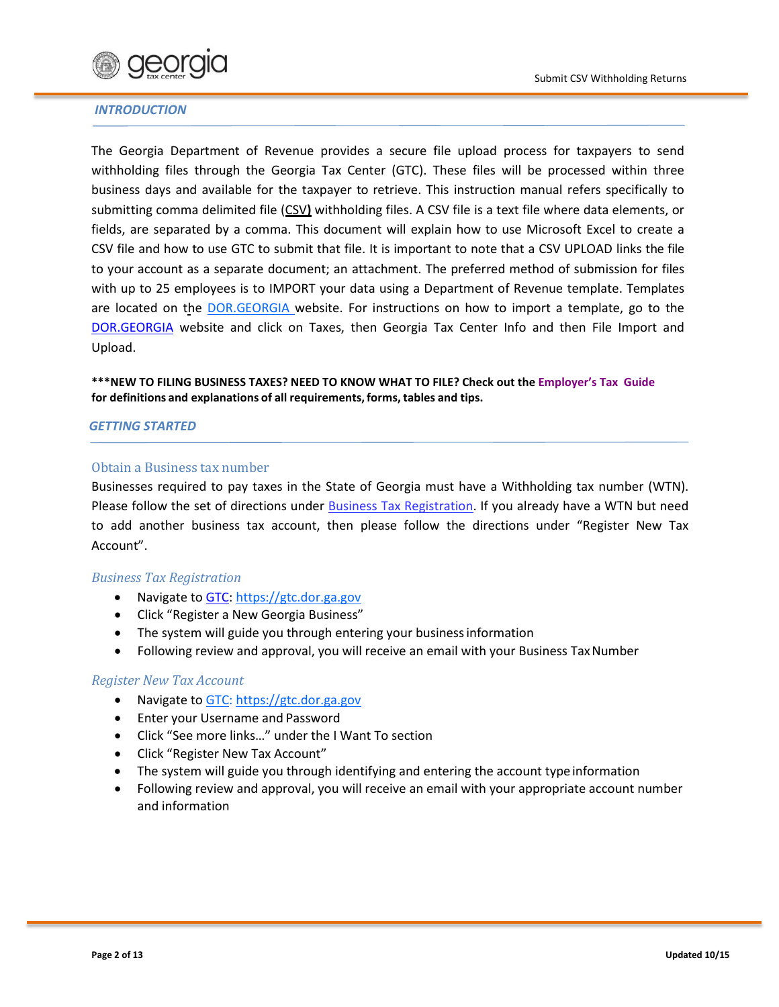

#### *INTRODUCTION*

The Georgia Department of Revenue provides a secure file upload process for taxpayers to send withholding files through the Georgia Tax Center (GTC). These files will be processed within three business days and available for the taxpayer to retrieve. This instruction manual refers specifically to submitting comma delimited file (CSV**)** withholding files. A CSV file is a text file where data elements, or fields, are separated by a comma. This document will explain how to use Microsoft Excel to create a CSV file and how to use GTC to submit that file. It is important to note that a CSV UPLOAD links the file to your account as a separate document; an attachment. The preferred method of submission for files with up to 25 employees is to IMPORT your data using a Department of Revenue template. Templates are located on the [DOR.GEORGIA](http://dor.georgia.gov/) website. For instructions on how to import a template, go to the [DOR.GEORGIA](http://dor.georgia.gov/) website and click on Taxes, then Georgia Tax Center Info and then File Import and Upload.

**\*\*\*NEW TO FILING BUSINESS TAXES? NEED TO KNOW WHAT TO FILE? Check out the [Employer's Tax Guide](http://dor.georgia.gov/documents/2015-employer-tax-guide)  for definitions and explanations of all requirements,forms, tables and tips.**

#### <span id="page-1-0"></span>*GETTING STARTED*

#### Obtain a Business tax number

Businesses required to pay taxes in the State of Georgia must have a Withholding tax number (WTN). Please follow the set of directions under [Business Tax Registration.](http://dor.georgia.gov/tax-registration) If you already have a WTN but need to add another business tax account, then please follow the directions under "Register New Tax Account".

# *Business Tax Registration*

- Navigate to [GTC:](https://gtc.dor.ga.gov/) [https://gtc.dor.ga.gov](https://gtc.dor.ga.gov/)
- Click "Register a New Georgia Business"
- The system will guide you through entering your business information
- Following review and approval, you will receive an email with your Business Tax Number

#### *Register New Tax Account*

- Navigate to [GTC:](https://gtc.dor.ga.gov/) [https://gtc.dor.ga.gov](https://gtc.dor.ga.gov/)
- Enter your Username and Password
- Click "See more links…" under the I Want To section
- Click "Register New Tax Account"
- The system will guide you through identifying and entering the account type information
- Following review and approval, you will receive an email with your appropriate account number and information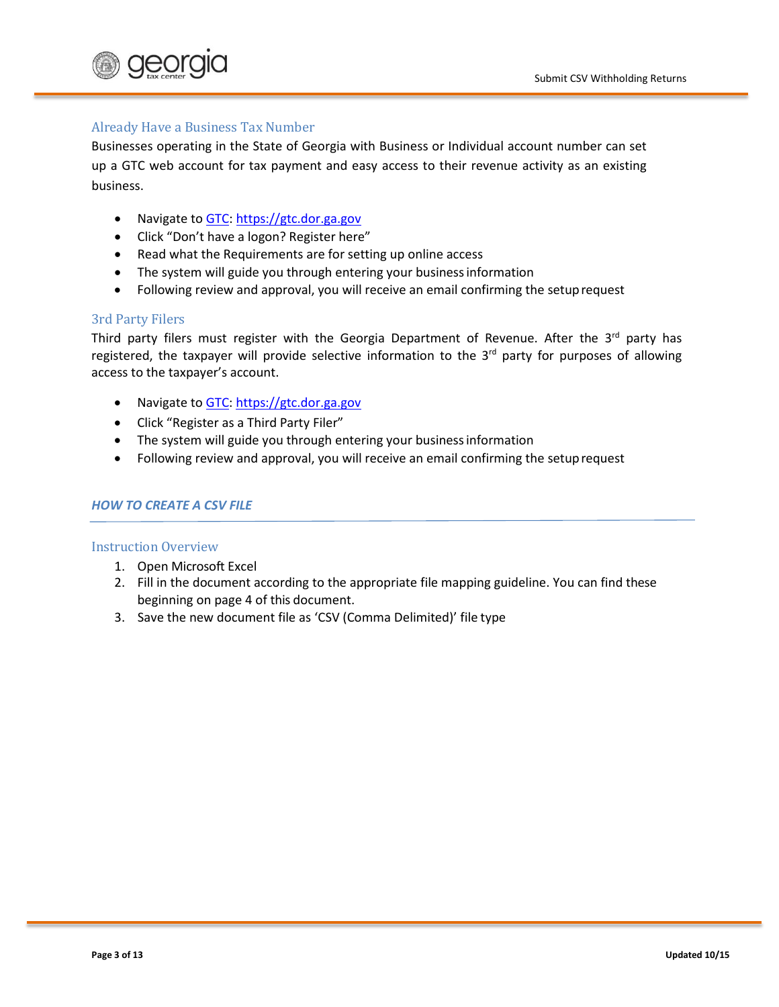

## Already Have a Business Tax Number

Businesses operating in the State of Georgia with Business or Individual account number can set up a GTC web account for tax payment and easy access to their revenue activity as an existing business.

- Navigate to [GTC:](https://gtc.dor.ga.gov/) [https://gtc.dor.ga.gov](https://gtc.dor.ga.gov/)
- Click "Don't have a logon? Register here"
- Read what the Requirements are for setting up online access
- The system will guide you through entering your businessinformation
- Following review and approval, you will receive an email confirming the setuprequest

#### 3rd Party Filers

Third party filers must register with the Georgia Department of Revenue. After the  $3^{rd}$  party has registered, the taxpayer will provide selective information to the  $3<sup>rd</sup>$  party for purposes of allowing access to the taxpayer's account.

- Navigate to [GTC:](https://gtc.dor.ga.gov/) [https://gtc.dor.ga.gov](https://gtc.dor.ga.gov/)
- Click "Register as a Third Party Filer"
- The system will guide you through entering your business information
- Following review and approval, you will receive an email confirming the setuprequest

#### <span id="page-2-0"></span>*HOW TO CREATE A CSV FILE*

#### <span id="page-2-1"></span>Instruction Overview

- 1. Open Microsoft Excel
- 2. Fill in the document according to the appropriate file mapping guideline. You can find these beginning on page 4 of this document.
- 3. Save the new document file as 'CSV (Comma Delimited)' file type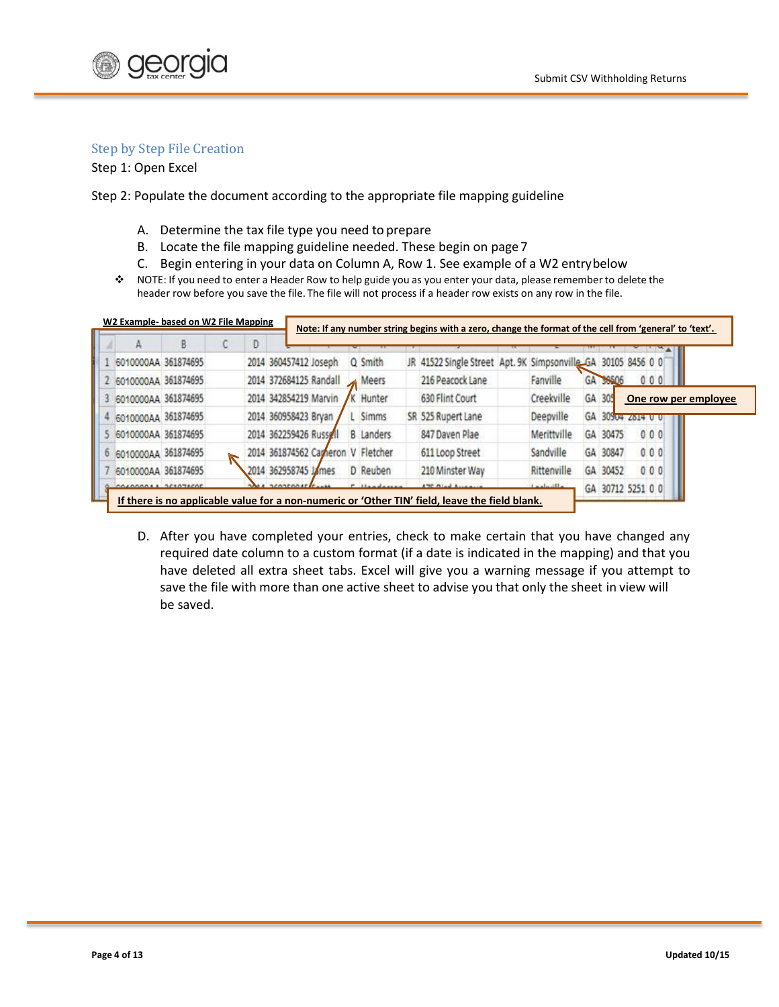

## <span id="page-3-0"></span>Step by Step File Creation

Step 1: Open Excel

Step 2: Populate the document according to the appropriate file mapping guideline

- A. Determine the tax file type you need to prepare
- B. Locate the file mapping guideline needed. These begin on page 7
- C. Begin entering in your data on Column A, Row 1. See example of a W2 entrybelow
- \* NOTE: If you need to enter a Header Row to help guide you as you enter your data, please remember to delete the header row before you save the file. The file will not process if a header row exists on any row in the file.

|                       | В | Ð |                                   |  |                  |                                                               |             |                   |                      |
|-----------------------|---|---|-----------------------------------|--|------------------|---------------------------------------------------------------|-------------|-------------------|----------------------|
| 6010000AA 361874695   |   |   | 2014 360457412 Joseph             |  | Q Smith          | JR 41522 Single Street Apt. 9K Simpsonville GA 30105 8456 0 0 |             |                   |                      |
| 2 6010000AA 361874695 |   |   | 2014 372684125 Randall            |  | Meers            | 216 Peacock Lane                                              | Fanville    | GA 38506          | 000                  |
| 6010000AA 361874695   |   |   | 2014 342854219 Marvin             |  | K Hunter         | 630 Flint Court                                               | Creekville  | GA 305            | One row per employee |
| 6010000AA 361874695   |   |   | 2014 360958423 Bryan              |  | Simms            | SR 525 Rupert Lane                                            | Deepville   | GA 30904 2814 0 0 |                      |
| 6010000AA 361874695   |   |   | 2014 362259426 Russell            |  | <b>B</b> Landers | 847 Daven Plae                                                | Merittville | GA 30475          | 0.00                 |
| 6010000AA 361874695   |   |   | 2014 361874562 Careron V Fletcher |  |                  | 611 Loop Street                                               | Sandville   | GA 30847          | 000                  |
| 6010000AA 361874695   |   |   | 2014 362958745 James              |  | D Reuben         | 210 Minster Way                                               | Rittenville | GA 30452          | 000                  |
| COACODAAA 3 361074605 |   |   | SCONCOOLE Canada                  |  |                  | ATC Died Assessed                                             | دالتسامم ا  | GA 30712 5251 0 0 |                      |

D. After you have completed your entries, check to make certain that you have changed any required date column to a custom format (if a date is indicated in the mapping) and that you have deleted all extra sheet tabs. Excel will give you a warning message if you attempt to save the file with more than one active sheet to advise you that only the sheet in view will be saved.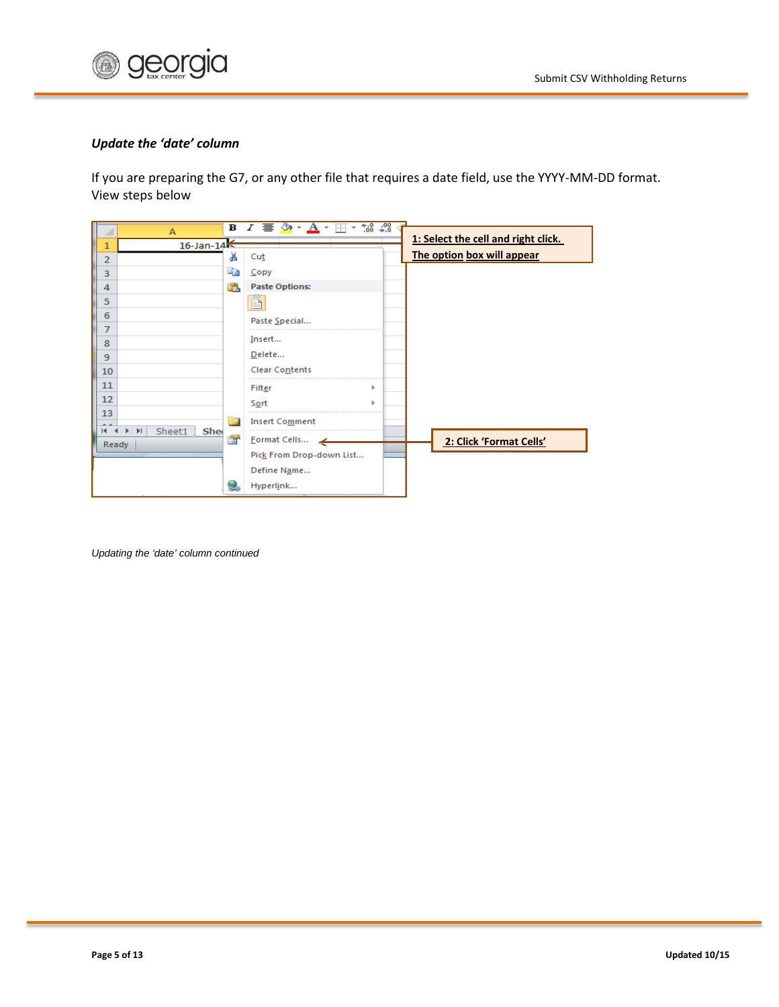

#### *Update the 'date' column*

If you are preparing the G7, or any other file that requires a date field, use the YYYY-MM-DD format. View steps below

| $\mathbf B$<br>A                                               | $*30.90$<br>$I \equiv \mathcal{D} \cdot A$<br>BB × |                                     |
|----------------------------------------------------------------|----------------------------------------------------|-------------------------------------|
| $16$ -Jan- $14<$<br>1                                          |                                                    | 1: Select the cell and right click. |
| Ж<br>$\overline{2}$                                            | Cut                                                | The option box will appear          |
| E)<br>3                                                        | Copy                                               |                                     |
| œ<br>4                                                         | <b>Paste Options:</b>                              |                                     |
| 5                                                              |                                                    |                                     |
| 6                                                              | Paste Special                                      |                                     |
| 7                                                              |                                                    |                                     |
| 8                                                              | Insert                                             |                                     |
| 9                                                              | Delete                                             |                                     |
| 10                                                             | Clear Contents                                     |                                     |
| 11                                                             | Filter<br>ь                                        |                                     |
| 12                                                             | <u>So</u> rt<br>ь                                  |                                     |
| 13<br>造口                                                       | <b>Insert Comment</b>                              |                                     |
| Sheet1<br><b>Shee</b><br>$\blacktriangleright$<br>$\mathbf{H}$ |                                                    |                                     |
| 會<br>Ready                                                     | Format Cells                                       | 2: Click 'Format Cells'             |
|                                                                | Pick From Drop-down List                           |                                     |
|                                                                | Define Name                                        |                                     |
| <b>CAD</b>                                                     | Hyperlink                                          |                                     |

*Updating the 'date' column continued*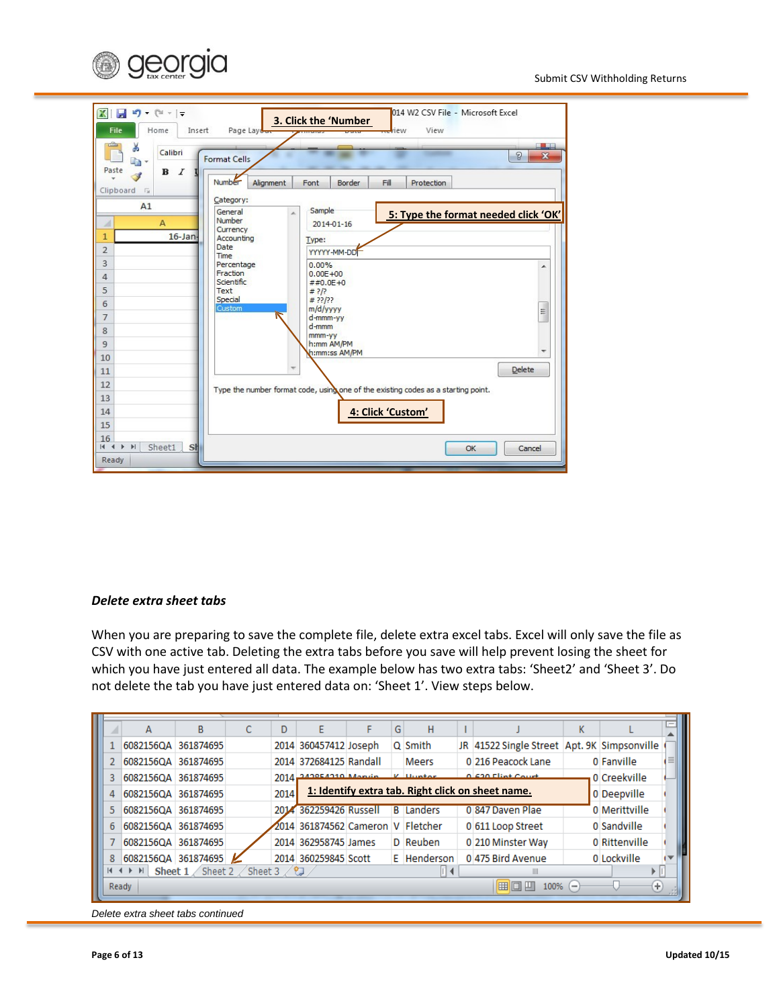



#### *Delete extra sheet tabs*

When you are preparing to save the complete file, delete extra excel tabs. Excel will only save the file as CSV with one active tab. Deleting the extra tabs before you save will help prevent losing the sheet for which you have just entered all data. The example below has two extra tabs: 'Sheet2' and 'Sheet 3'. Do not delete the tab you have just entered data on: 'Sheet 1'. View steps below.

|                                                               |                     |   |  |      |                                   |  |   |                  |  |                                                   |   |               | $=$ |
|---------------------------------------------------------------|---------------------|---|--|------|-----------------------------------|--|---|------------------|--|---------------------------------------------------|---|---------------|-----|
|                                                               | А                   | B |  | D    | E                                 |  | G | н                |  |                                                   | К |               |     |
|                                                               | 6082156QA 361874695 |   |  |      | 2014 360457412 Joseph             |  |   | Q Smith          |  | JR 41522 Single Street Apt. 9K Simpsonville       |   |               |     |
|                                                               | 6082156QA 361874695 |   |  |      | 2014 372684125 Randall            |  |   | <b>Meers</b>     |  | 0 216 Peacock Lane                                |   | 0 Fanville    |     |
| 3                                                             | 6082156QA 361874695 |   |  |      | 2014 242954210 Monrie V United    |  |   |                  |  | 0.630 Flint Court                                 |   | 0 Creekville  |     |
| 4                                                             | 6082156QA 361874695 |   |  | 2014 |                                   |  |   |                  |  | 1: Identify extra tab. Right click on sheet name. |   | 0 Deepville   |     |
|                                                               | 6082156QA 361874695 |   |  |      | 2014 362259426 Russell            |  |   | <b>B</b> Landers |  | 0 847 Daven Plae                                  |   | 0 Merittville |     |
| 6                                                             | 6082156QA 361874695 |   |  |      | 2014 361874562 Cameron V Fletcher |  |   |                  |  | 0 611 Loop Street                                 |   | 0 Sandville   |     |
|                                                               | 6082156QA 361874695 |   |  |      | 2014 362958745 James              |  |   | D Reuben         |  | 0 210 Minster Way                                 |   | 0 Rittenville |     |
| 8                                                             | 6082156QA 361874695 |   |  |      | 2014 360259845 Scott              |  |   | E Henderson      |  | 0475 Bird Avenue                                  |   | 0 Lockville   |     |
| <b>Sheet 1</b> Sheet 2 Sheet 3 $\sqrt{2}$<br>$M \leftarrow N$ |                     |   |  |      |                                   |  |   |                  |  |                                                   |   |               |     |
| ⊞回凹<br>$_{\rm \oplus}$<br>Ready<br>100%<br>$\left($ $-$       |                     |   |  |      |                                   |  |   |                  |  |                                                   |   |               |     |
|                                                               |                     |   |  |      |                                   |  |   |                  |  |                                                   |   |               |     |

*Delete extra sheet tabs continued*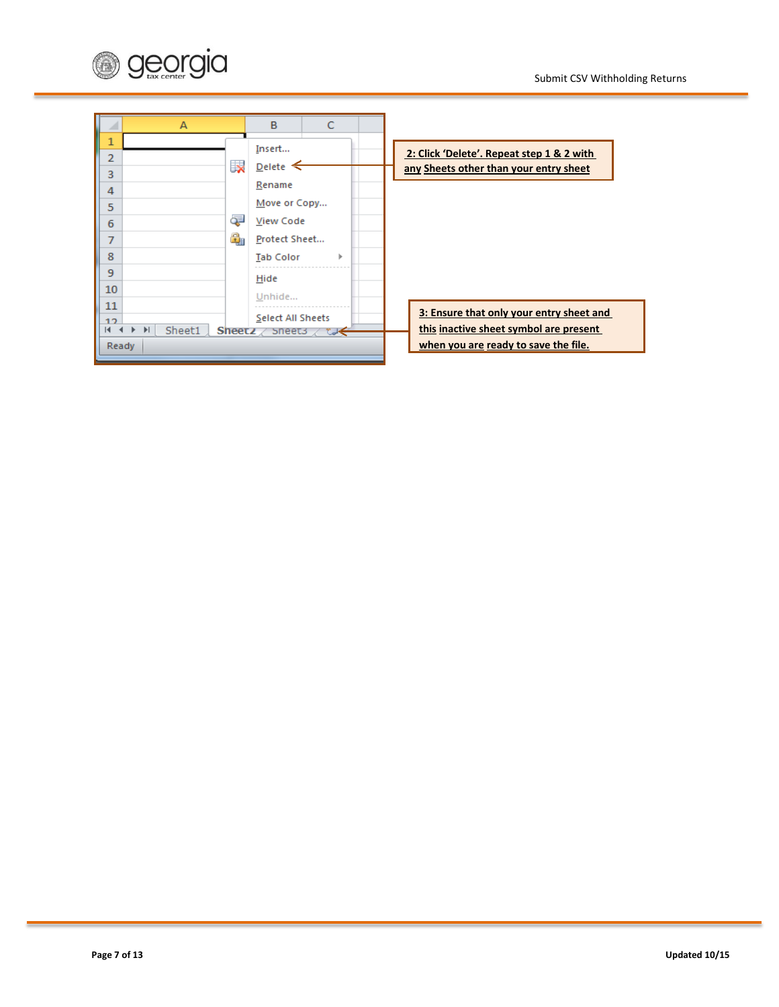

| A                                                                       | B<br>C                                                                                                                                |                                                                                                                            |
|-------------------------------------------------------------------------|---------------------------------------------------------------------------------------------------------------------------------------|----------------------------------------------------------------------------------------------------------------------------|
| 1<br>$\overline{2}$<br>3<br>4<br>5<br>6<br>7<br>8<br>9<br>10            | Insert<br>Ex<br>Delete $\leq$<br>Rename<br>Move or Copy<br>Œ<br>View Code<br>€<br>Protect Sheet<br><b>Tab Color</b><br>Hide<br>Unhide | 2: Click 'Delete'. Repeat step 1 & 2 with<br>any Sheets other than your entry sheet                                        |
| 11<br>12<br>$\blacktriangleright$<br>Sheet1<br>$\overline{14}$<br>Ready | Select All Sheets<br>Sheetz $\angle$ Sheets $\angle$ ty                                                                               | 3: Ensure that only your entry sheet and<br>this inactive sheet symbol are present<br>when you are ready to save the file. |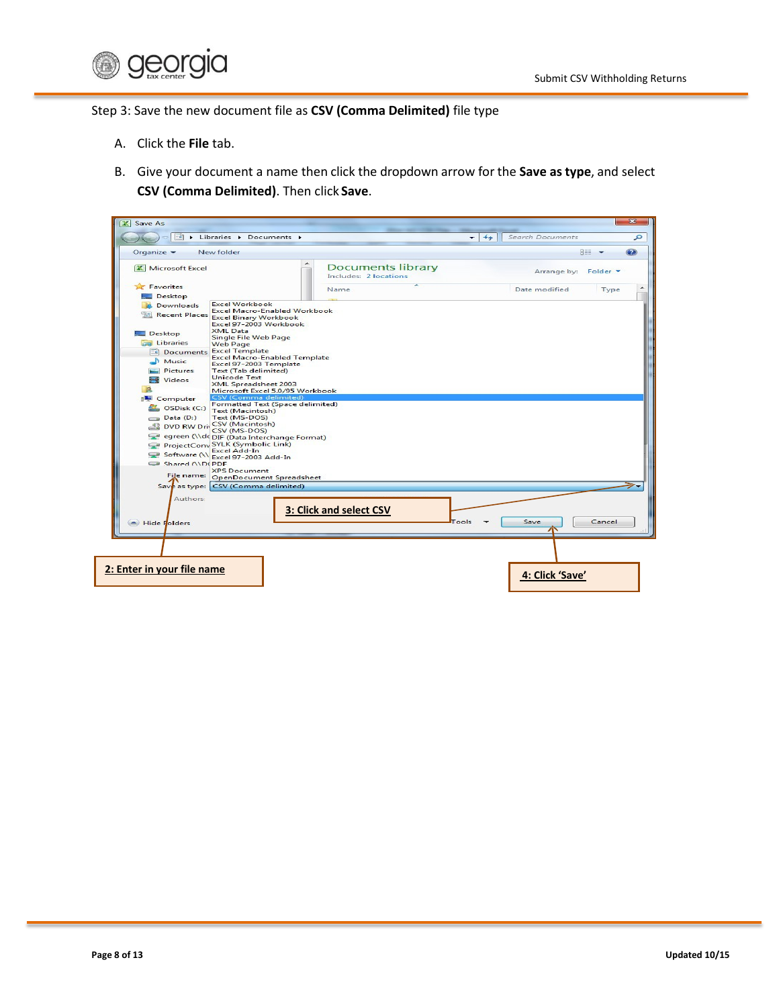

Step 3: Save the new document file as **CSV (Comma Delimited)** file type

- A. Click the **File** tab.
- B. Give your document a name then click the dropdown arrow for the **Save astype**, and select **CSV (Comma Delimited)**. Then click **Save**.

| Organize -               | New folder                                                    |                         |                          |       |                      | <b>REE</b> |
|--------------------------|---------------------------------------------------------------|-------------------------|--------------------------|-------|----------------------|------------|
| <b>X</b> Microsoft Excel |                                                               | Includes: 2 locations   | <b>Documents library</b> |       | Arrange by: Folder ▼ |            |
| Favorites                |                                                               | Name                    |                          |       | Date modified        | Type       |
| Desktop                  |                                                               |                         |                          |       |                      |            |
| <b>Downloads</b>         | <b>Excel Workbook</b>                                         |                         |                          |       |                      |            |
|                          | <b>Excel Macro-Enabled Workbook</b>                           |                         |                          |       |                      |            |
|                          | Recent Places Excel Binary Workbook<br>Excel 97-2003 Workbook |                         |                          |       |                      |            |
|                          | <b>XML Data</b>                                               |                         |                          |       |                      |            |
| Desktop                  | Single File Web Page                                          |                         |                          |       |                      |            |
| Libraries                | <b>Web Page</b>                                               |                         |                          |       |                      |            |
| Documents                | <b>Excel Template</b>                                         |                         |                          |       |                      |            |
| M <sub>usic</sub>        | <b>Excel Macro-Enabled Template</b><br>Excel 97-2003 Template |                         |                          |       |                      |            |
| Pictures                 | Text (Tab delimited)                                          |                         |                          |       |                      |            |
| Videos                   | <b>Unicode Text</b>                                           |                         |                          |       |                      |            |
| <b>In</b>                | <b>XML Spreadsheet 2003</b>                                   |                         |                          |       |                      |            |
|                          | Microsoft Excel 5.0/95 Workbook<br>CSV (Comma delimited)      |                         |                          |       |                      |            |
| Computer                 | Formatted Text (Space delimited)                              |                         |                          |       |                      |            |
| OSDisk (C:)              | Text (Macintosh)                                              |                         |                          |       |                      |            |
| $\Box$ Data (D:)         | Text (MS-DOS)                                                 |                         |                          |       |                      |            |
|                          | DVD RW Driv CSV (Macintosh)                                   |                         |                          |       |                      |            |
|                          | CSV (MS-DOS)<br>egreen (\\dc DIF (Data Interchange Format)    |                         |                          |       |                      |            |
|                          | ProjectConv SYLK (Symbolic Link)                              |                         |                          |       |                      |            |
|                          | <b>Excel Add-In</b>                                           |                         |                          |       |                      |            |
|                          | Software (\\ Excel 97-2003 Add-In                             |                         |                          |       |                      |            |
| Shared ANDCPDE           | <b>XPS Document</b>                                           |                         |                          |       |                      |            |
|                          | File name: OpenDocument Spreadsheet                           |                         |                          |       |                      |            |
|                          | Save as type: CSV (Comma delimited)                           |                         |                          |       |                      |            |
|                          |                                                               |                         |                          |       |                      |            |
| <b>Authors:</b>          |                                                               |                         |                          |       |                      |            |
|                          |                                                               | 3: Click and select CSV |                          |       |                      |            |
|                          |                                                               |                         |                          |       |                      |            |
| Hide Folders             |                                                               |                         |                          | Tools | Save                 | Cancel     |
|                          |                                                               |                         |                          |       |                      |            |
|                          |                                                               |                         |                          |       |                      |            |
|                          |                                                               |                         |                          |       |                      |            |
|                          |                                                               |                         |                          |       |                      |            |
|                          |                                                               |                         |                          |       |                      |            |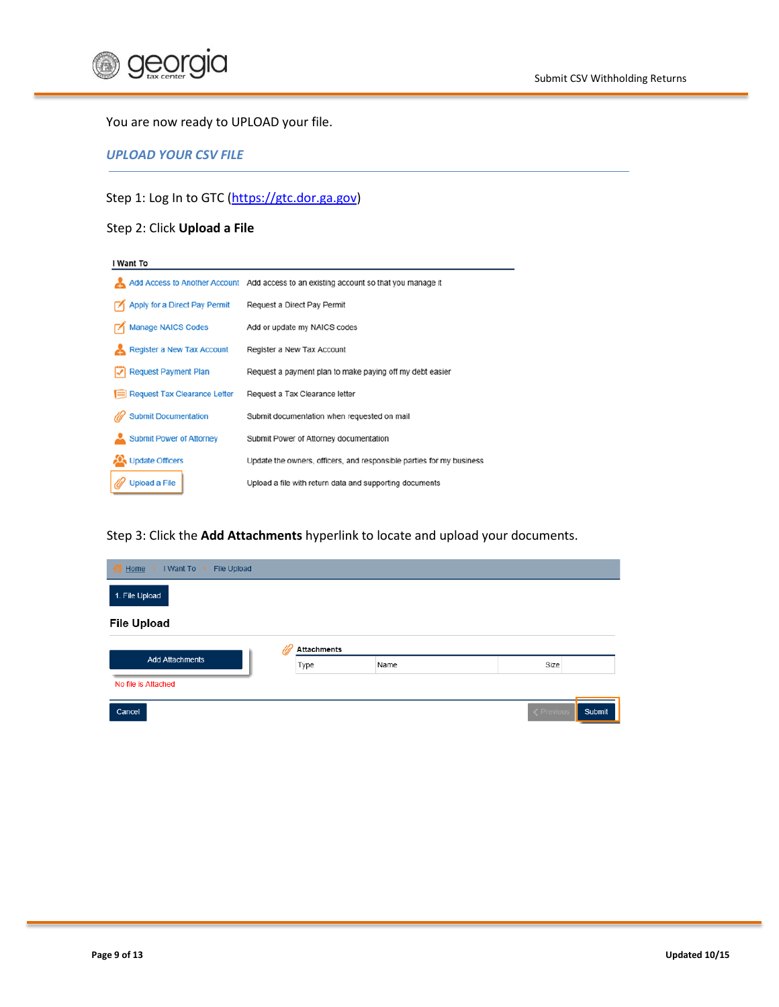

#### You are now ready to UPLOAD your file.

<span id="page-8-0"></span>*UPLOAD YOUR CSV FILE*

Step 1: Log In to GTC [\(https://gtc.dor.ga.gov\)](https://gtc.dor.ga.gov/)

# Step 2: Click **Upload a File**

| I Want To                             |                                                                                       |  |  |  |  |
|---------------------------------------|---------------------------------------------------------------------------------------|--|--|--|--|
|                                       | Add Access to Another Account Add access to an existing account so that you manage it |  |  |  |  |
| Apply for a Direct Pay Permit         | Request a Direct Pay Permit                                                           |  |  |  |  |
| <b>Manage NAICS Codes</b>             | Add or update my NAICS codes                                                          |  |  |  |  |
| <b>Register a New Tax Account</b>     | Register a New Tax Account                                                            |  |  |  |  |
| <b>Request Payment Plan</b>           | Request a payment plan to make paying off my debt easier                              |  |  |  |  |
| $\equiv$ Request Tax Clearance Letter | Request a Tax Clearance letter                                                        |  |  |  |  |
| <b>Submit Documentation</b>           | Submit documentation when requested on mail                                           |  |  |  |  |
| <b>Submit Power of Attorney</b>       | Submit Power of Attorney documentation                                                |  |  |  |  |
| Update Officers                       | Update the owners, officers, and responsible parties for my business                  |  |  |  |  |
| <b>Upload a File</b>                  | Upload a file with return data and supporting documents                               |  |  |  |  |

Step 3: Click the **Add Attachments** hyperlink to locate and upload your documents.

| <b>K</b> Home<br>$\rightarrow$ I Want To $\rightarrow$<br><b>File Upload</b> |                    |      |  |                  |        |  |  |  |  |
|------------------------------------------------------------------------------|--------------------|------|--|------------------|--------|--|--|--|--|
| 1. File Upload                                                               |                    |      |  |                  |        |  |  |  |  |
| <b>File Upload</b>                                                           |                    |      |  |                  |        |  |  |  |  |
|                                                                              | <b>Attachments</b> |      |  |                  |        |  |  |  |  |
| <b>Add Attachments</b>                                                       | Type               | Name |  | Size             |        |  |  |  |  |
| No file is Attached                                                          |                    |      |  |                  |        |  |  |  |  |
| Cancel                                                                       |                    |      |  | <b>くPrevious</b> | Submit |  |  |  |  |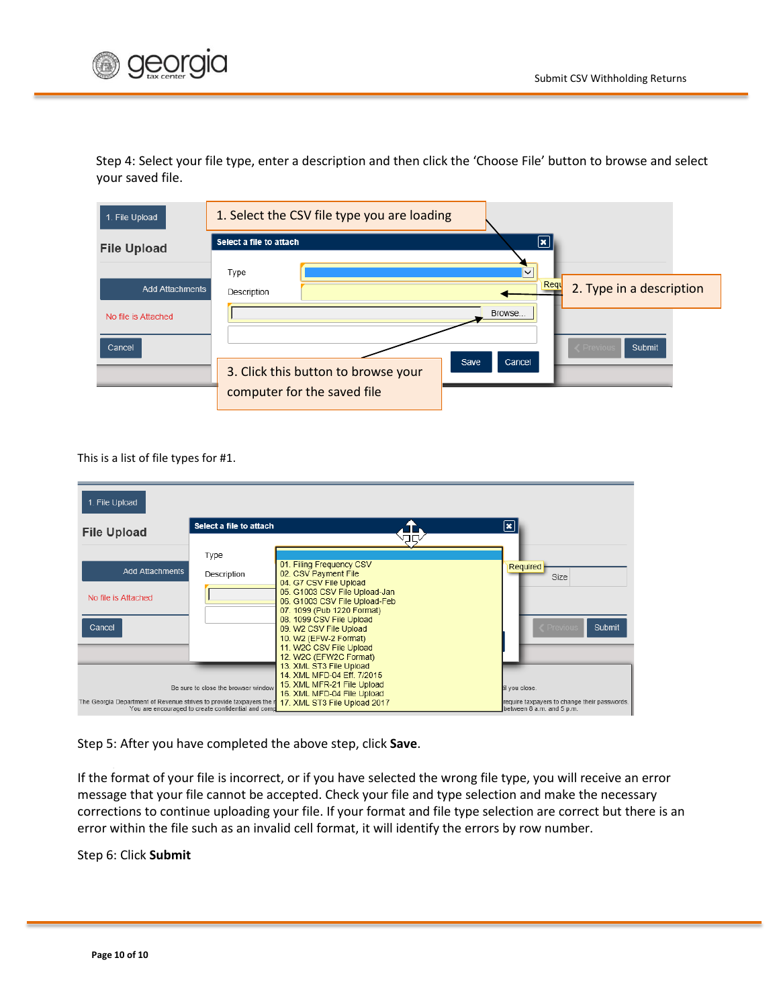

Step 4: Select your file type, enter a description and then click the 'Choose File' button to browse and select your saved file.

| 1. File Upload                | 1. Select the CSV file type you are loading |                                                       |
|-------------------------------|---------------------------------------------|-------------------------------------------------------|
| <b>File Upload</b>            | Select a file to attach                     | $ \mathbf{x} $<br>$\checkmark$                        |
| <b>Add Attachments</b>        | Type<br>Description                         | Requ<br>2. Type in a description                      |
| No file is Attached<br>Cancel | 3. Click this button to browse your         | Browse<br><b>Submit</b><br>Previous<br>Cancel<br>Save |
|                               | computer for the saved file                 |                                                       |

This is a list of file types for #1.

| 1. File Upload                                                     |                                                                                           |                                                                                                                                                                                                                                                                                                                                           |                                                                                             |
|--------------------------------------------------------------------|-------------------------------------------------------------------------------------------|-------------------------------------------------------------------------------------------------------------------------------------------------------------------------------------------------------------------------------------------------------------------------------------------------------------------------------------------|---------------------------------------------------------------------------------------------|
| <b>File Upload</b>                                                 | Select a file to attach                                                                   |                                                                                                                                                                                                                                                                                                                                           | $\vert \mathbf{x} \vert$                                                                    |
| <b>Add Attachments</b><br>No file is Attached<br>Cancel            | Type<br>Description                                                                       | 01. Filing Frequency CSV<br>02. CSV Payment File<br>04. G7 CSV File Upload<br>05. G1003 CSV File Upload-Jan<br>06. G1003 CSV File Upload-Feb<br>07. 1099 (Pub 1220 Format)<br>08. 1099 CSV File Upload<br>09. W2 CSV File Upload<br>10. W2 (EFW-2 Format)<br>11. W2C CSV File Upload<br>12. W2C (EFW2C Format)<br>13. XML ST3 File Upload | Required<br>Size<br>Submit<br>Previous                                                      |
| The Georgia Department of Revenue strives to provide taxpayers the | Be sure to close the browser window<br>You are encouraged to create confidential and comp | 14. XML MFD-04 Eff. 7/2015<br>15. XML MFR-21 File Upload<br>16. XML MFD-04 File Upload<br>17. XML ST3 File Upload 2017                                                                                                                                                                                                                    | til vou close.<br>require taxpayers to change their passwords.<br>between 8 a.m. and 5 p.m. |

Step 5: After you have completed the above step, click **Save**.

If the format of your file is incorrect, or if you have selected the wrong file type, you will receive an error message that your file cannot be accepted. Check your file and type selection and make the necessary corrections to continue uploading your file. If your format and file type selection are correct but there is an error within the file such as an invalid cell format, it will identify the errors by row number.

Step 6: Click **Submit**